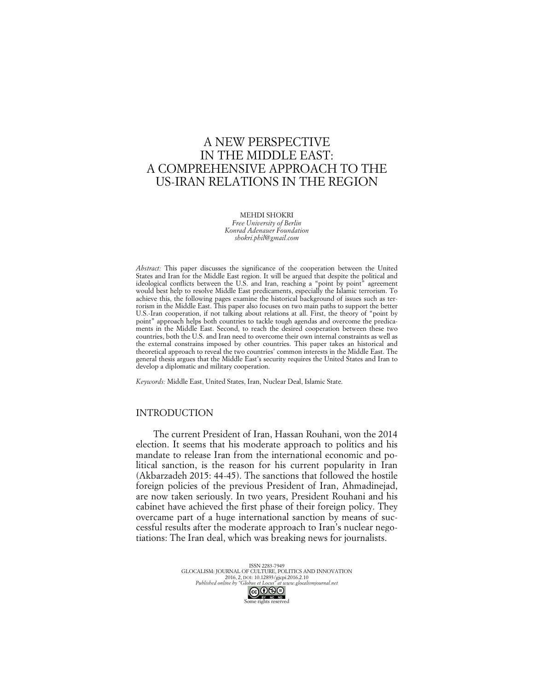# A NEW PERSPECTIVE IN THE MIDDLE EAST: A COMPREHENSIVE APPROACH TO THE US-IRAN RELATIONS IN THE REGION

MEHDI SHOKRI *Free University of Berlin Konrad Adenauer Foundation shokri.phil@gmail.com*

*Abstract:* This paper discusses the significance of the cooperation between the United States and Iran for the Middle East region. It will be argued that despite the political and ideological conflicts between the U.S. and Iran, reaching a "point by point" agreement would best help to resolve Middle East predicaments, especially the Islamic terrorism. To achieve this, the following pages examine the historical background of issues such as terrorism in the Middle East. This paper also focuses on two main paths to support the better U.S.-Iran cooperation, if not talking about relations at all. First, the theory of "point by point" approach helps both countries to tackle tough agendas and overcome the predicaments in the Middle East. Second, to reach the desired cooperation between these two countries, both the U.S. and Iran need to overcome their own internal constraints as well as the external constrains imposed by other countries. This paper takes an historical and theoretical approach to reveal the two countries' common interests in the Middle East. The general thesis argues that the Middle East's security requires the United States and Iran to develop a diplomatic and military cooperation.

*Keywords:* Middle East, United States, Iran, Nuclear Deal, Islamic State.

## INTRODUCTION

The current President of Iran, Hassan Rouhani, won the 2014 election. It seems that his moderate approach to politics and his mandate to release Iran from the international economic and political sanction, is the reason for his current popularity in Iran (Akbarzadeh 2015: 44-45). The sanctions that followed the hostile foreign policies of the previous President of Iran, Ahmadinejad, are now taken seriously. In two years, President Rouhani and his cabinet have achieved the first phase of their foreign policy. They overcame part of a huge international sanction by means of successful results after the moderate approach to Iran's nuclear negotiations: The Iran deal, which was breaking news for journalists.

> ISSN 2283-7949 GLOCALISM: JOURNAL OF CULTURE, POLITICS AND INNOVATION 2016, 2, DOI: 10.12893/gjcpi.2016.2.10 *Published online by "Globus et Locus" at www.glocalismjournal.net*  $\bigodot_{\text{BV}-\text{NC}-\text{ND}}$ <br>me rights reserved

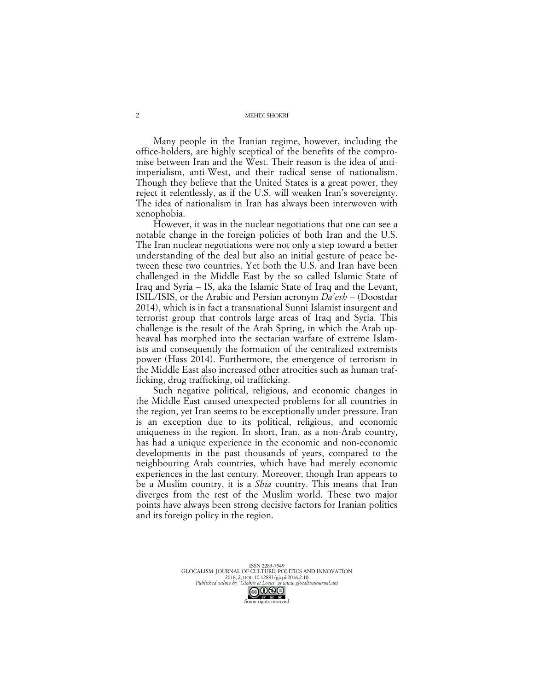Many people in the Iranian regime, however, including the office-holders, are highly sceptical of the benefits of the compromise between Iran and the West. Their reason is the idea of antiimperialism, anti-West, and their radical sense of nationalism. Though they believe that the United States is a great power, they reject it relentlessly, as if the U.S. will weaken Iran's sovereignty. The idea of nationalism in Iran has always been interwoven with xenophobia.

However, it was in the nuclear negotiations that one can see a notable change in the foreign policies of both Iran and the U.S. The Iran nuclear negotiations were not only a step toward a better understanding of the deal but also an initial gesture of peace between these two countries. Yet both the U.S. and Iran have been challenged in the Middle East by the so called Islamic State of Iraq and Syria – IS, aka the Islamic State of Iraq and the Levant, ISIL/ISIS, or the Arabic and Persian acronym *Da'esh* – (Doostdar 2014), which is in fact a transnational Sunni Islamist insurgent and terrorist group that controls large areas of Iraq and Syria. This challenge is the result of the Arab Spring, in which the Arab upheaval has morphed into the sectarian warfare of extreme Islamists and consequently the formation of the centralized extremists power (Hass 2014). Furthermore, the emergence of terrorism in the Middle East also increased other atrocities such as human trafficking, drug trafficking, oil trafficking.

Such negative political, religious, and economic changes in the Middle East caused unexpected problems for all countries in the region, yet Iran seems to be exceptionally under pressure. Iran is an exception due to its political, religious, and economic uniqueness in the region. In short, Iran, as a non-Arab country, has had a unique experience in the economic and non-economic developments in the past thousands of years, compared to the neighbouring Arab countries, which have had merely economic experiences in the last century. Moreover, though Iran appears to be a Muslim country, it is a *Shia* country. This means that Iran diverges from the rest of the Muslim world. These two major points have always been strong decisive factors for Iranian politics and its foreign policy in the region.

> ISSN 2283-7949 GLOCALISM: JOURNAL OF CULTURE, POLITICS AND INNOVATION 2016, 2, DOI: 10.12893/gjcpi.2016.2.10 *Published online by "Globus et Locus" at www.glocalismjournal.net*  $\bigodot$   $\bigodot$   $\bigodot$   $\bigodot$ <br>me rights reserved



2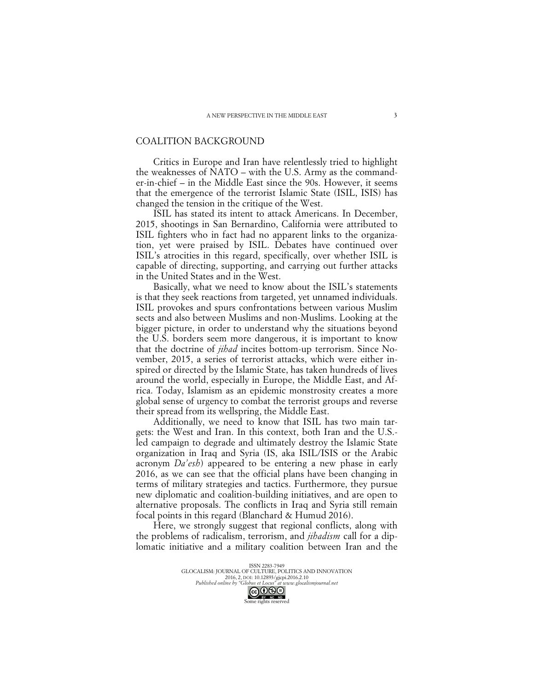### COALITION BACKGROUND

Critics in Europe and Iran have relentlessly tried to highlight the weaknesses of NATO – with the U.S. Army as the commander-in-chief – in the Middle East since the 90s. However, it seems that the emergence of the terrorist Islamic State (ISIL, ISIS) has changed the tension in the critique of the West.

ISIL has stated its intent to attack Americans. In December, 2015, shootings in San Bernardino, California were attributed to ISIL fighters who in fact had no apparent links to the organization, yet were praised by ISIL. Debates have continued over ISIL's atrocities in this regard, specifically, over whether ISIL is capable of directing, supporting, and carrying out further attacks in the United States and in the West.

Basically, what we need to know about the ISIL's statements is that they seek reactions from targeted, yet unnamed individuals. ISIL provokes and spurs confrontations between various Muslim sects and also between Muslims and non-Muslims. Looking at the bigger picture, in order to understand why the situations beyond the U.S. borders seem more dangerous, it is important to know that the doctrine of *jihad* incites bottom-up terrorism. Since November, 2015, a series of terrorist attacks, which were either inspired or directed by the Islamic State, has taken hundreds of lives around the world, especially in Europe, the Middle East, and Africa. Today, Islamism as an epidemic monstrosity creates a more global sense of urgency to combat the terrorist groups and reverse their spread from its wellspring, the Middle East.

Additionally, we need to know that ISIL has two main targets: the West and Iran. In this context, both Iran and the U.S. led campaign to degrade and ultimately destroy the Islamic State organization in Iraq and Syria (IS, aka ISIL/ISIS or the Arabic acronym *Da'esh*) appeared to be entering a new phase in early 2016, as we can see that the official plans have been changing in terms of military strategies and tactics. Furthermore, they pursue new diplomatic and coalition-building initiatives, and are open to alternative proposals. The conflicts in Iraq and Syria still remain focal points in this regard (Blanchard & Humud 2016).

Here, we strongly suggest that regional conflicts, along with the problems of radicalism, terrorism, and *jihadism* call for a diplomatic initiative and a military coalition between Iran and the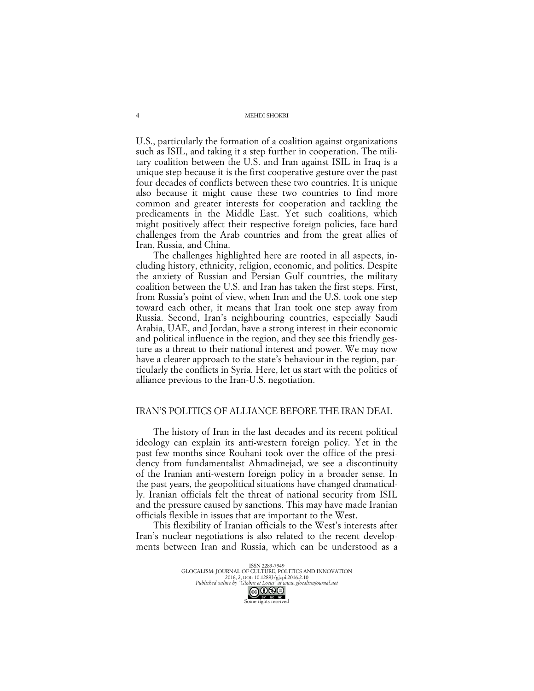U.S., particularly the formation of a coalition against organizations such as ISIL, and taking it a step further in cooperation. The military coalition between the U.S. and Iran against ISIL in Iraq is a unique step because it is the first cooperative gesture over the past four decades of conflicts between these two countries. It is unique also because it might cause these two countries to find more common and greater interests for cooperation and tackling the predicaments in the Middle East. Yet such coalitions, which might positively affect their respective foreign policies, face hard challenges from the Arab countries and from the great allies of Iran, Russia, and China.

The challenges highlighted here are rooted in all aspects, including history, ethnicity, religion, economic, and politics. Despite the anxiety of Russian and Persian Gulf countries, the military coalition between the U.S. and Iran has taken the first steps. First, from Russia's point of view, when Iran and the U.S. took one step toward each other, it means that Iran took one step away from Russia. Second, Iran's neighbouring countries, especially Saudi Arabia, UAE, and Jordan, have a strong interest in their economic and political influence in the region, and they see this friendly gesture as a threat to their national interest and power. We may now have a clearer approach to the state's behaviour in the region, particularly the conflicts in Syria. Here, let us start with the politics of alliance previous to the Iran-U.S. negotiation.

### IRAN'S POLITICS OF ALLIANCE BEFORE THE IRAN DEAL

The history of Iran in the last decades and its recent political ideology can explain its anti-western foreign policy. Yet in the past few months since Rouhani took over the office of the presidency from fundamentalist Ahmadinejad, we see a discontinuity of the Iranian anti-western foreign policy in a broader sense. In the past years, the geopolitical situations have changed dramatically. Iranian officials felt the threat of national security from ISIL and the pressure caused by sanctions. This may have made Iranian officials flexible in issues that are important to the West.

This flexibility of Iranian officials to the West's interests after Iran's nuclear negotiations is also related to the recent developments between Iran and Russia, which can be understood as a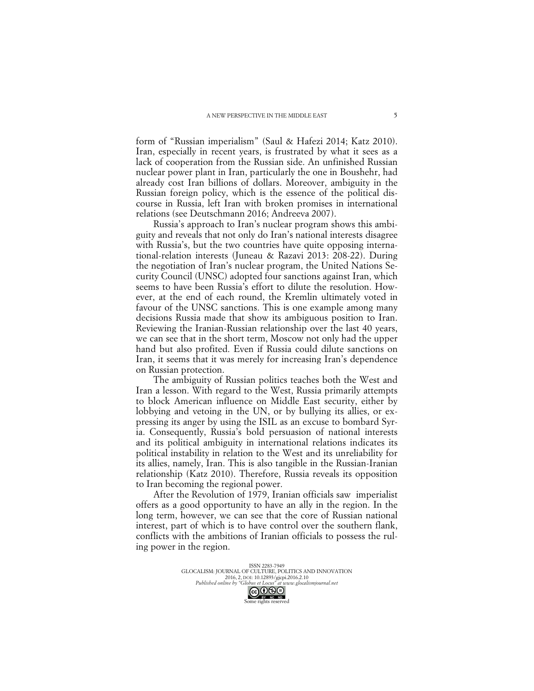form of "Russian imperialism" (Saul & Hafezi 2014; Katz 2010). Iran, especially in recent years, is frustrated by what it sees as a lack of cooperation from the Russian side. An unfinished Russian nuclear power plant in Iran, particularly the one in Boushehr, had already cost Iran billions of dollars. Moreover, ambiguity in the Russian foreign policy, which is the essence of the political discourse in Russia, left Iran with broken promises in international relations (see Deutschmann 2016; Andreeva 2007).

Russia's approach to Iran's nuclear program shows this ambiguity and reveals that not only do Iran's national interests disagree with Russia's, but the two countries have quite opposing international-relation interests (Juneau & Razavi 2013: 208-22). During the negotiation of Iran's nuclear program, the United Nations Security Council (UNSC) adopted four sanctions against Iran, which seems to have been Russia's effort to dilute the resolution. However, at the end of each round, the Kremlin ultimately voted in favour of the UNSC sanctions. This is one example among many decisions Russia made that show its ambiguous position to Iran. Reviewing the Iranian-Russian relationship over the last 40 years, we can see that in the short term, Moscow not only had the upper hand but also profited. Even if Russia could dilute sanctions on Iran, it seems that it was merely for increasing Iran's dependence on Russian protection.

The ambiguity of Russian politics teaches both the West and Iran a lesson. With regard to the West, Russia primarily attempts to block American influence on Middle East security, either by lobbying and vetoing in the UN, or by bullying its allies, or expressing its anger by using the ISIL as an excuse to bombard Syria. Consequently, Russia's bold persuasion of national interests and its political ambiguity in international relations indicates its political instability in relation to the West and its unreliability for its allies, namely, Iran. This is also tangible in the Russian-Iranian relationship (Katz 2010). Therefore, Russia reveals its opposition to Iran becoming the regional power.

After the Revolution of 1979, Iranian officials saw imperialist offers as a good opportunity to have an ally in the region. In the long term, however, we can see that the core of Russian national interest, part of which is to have control over the southern flank, conflicts with the ambitions of Iranian officials to possess the ruling power in the region.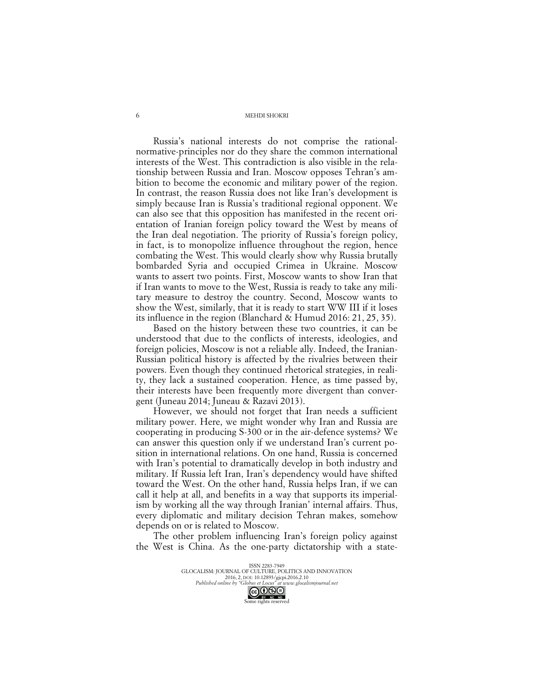Russia's national interests do not comprise the rationalnormative-principles nor do they share the common international interests of the West. This contradiction is also visible in the relationship between Russia and Iran. Moscow opposes Tehran's ambition to become the economic and military power of the region. In contrast, the reason Russia does not like Iran's development is simply because Iran is Russia's traditional regional opponent. We can also see that this opposition has manifested in the recent orientation of Iranian foreign policy toward the West by means of the Iran deal negotiation. The priority of Russia's foreign policy, in fact, is to monopolize influence throughout the region, hence combating the West. This would clearly show why Russia brutally bombarded Syria and occupied Crimea in Ukraine. Moscow wants to assert two points. First, Moscow wants to show Iran that if Iran wants to move to the West, Russia is ready to take any military measure to destroy the country. Second, Moscow wants to show the West, similarly, that it is ready to start WW III if it loses its influence in the region (Blanchard & Humud 2016: 21, 25, 35).

Based on the history between these two countries, it can be understood that due to the conflicts of interests, ideologies, and foreign policies, Moscow is not a reliable ally. Indeed, the Iranian-Russian political history is affected by the rivalries between their powers. Even though they continued rhetorical strategies, in reality, they lack a sustained cooperation. Hence, as time passed by, their interests have been frequently more divergent than convergent (Juneau 2014; Juneau & Razavi 2013).

However, we should not forget that Iran needs a sufficient military power. Here, we might wonder why Iran and Russia are cooperating in producing S-300 or in the air-defence systems? We can answer this question only if we understand Iran's current position in international relations. On one hand, Russia is concerned with Iran's potential to dramatically develop in both industry and military. If Russia left Iran, Iran's dependency would have shifted toward the West. On the other hand, Russia helps Iran, if we can call it help at all, and benefits in a way that supports its imperialism by working all the way through Iranian' internal affairs. Thus, every diplomatic and military decision Tehran makes, somehow depends on or is related to Moscow.

The other problem influencing Iran's foreign policy against the West is China. As the one-party dictatorship with a state-

> ISSN 2283-7949 GLOCALISM: JOURNAL OF CULTURE, POLITICS AND INNOVATION 2016, 2, DOI: 10.12893/gjcpi.2016.2.10 *Published online by "Globus et Locus" at www.glocalismjournal.net*  $\bigcirc$   $\bigcirc$   $\bigcirc$   $\bigcirc$   $\bigcirc$   $\bigcirc$   $\bigcirc$   $\bigcirc$   $\bigcirc$   $\bigcirc$   $\bigcirc$   $\bigcirc$   $\bigcirc$   $\bigcirc$   $\bigcirc$   $\bigcirc$   $\bigcirc$   $\bigcirc$   $\bigcirc$   $\bigcirc$   $\bigcirc$   $\bigcirc$   $\bigcirc$   $\bigcirc$   $\bigcirc$   $\bigcirc$   $\bigcirc$   $\bigcirc$   $\bigcirc$   $\bigcirc$   $\bigcirc$   $\bigcirc$   $\bigcirc$   $\bigcirc$   $\bigcirc$   $\bigcirc$   $\bigcirc$

6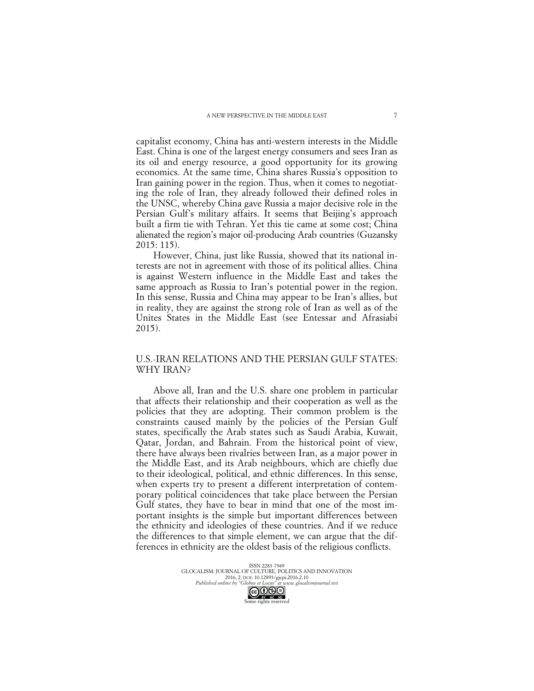capitalist economy, China has anti-western interests in the Middle East. China is one of the largest energy consumers and sees Iran as its oil and energy resource, a good opportunity for its growing economics. At the same time, China shares Russia's opposition to Iran gaining power in the region. Thus, when it comes to negotiating the role of Iran, they already followed their defined roles in the UNSC, whereby China gave Russia a major decisive role in the Persian Gulf's military affairs. It seems that Beijing's approach built a firm tie with Tehran. Yet this tie came at some cost; China alienated the region's major oil-producing Arab countries (Guzansky 2015: 115).

However, China, just like Russia, showed that its national interests are not in agreement with those of its political allies. China is against Western influence in the Middle East and takes the same approach as Russia to Iran's potential power in the region. In this sense, Russia and China may appear to be Iran's allies, but in reality, they are against the strong role of Iran as well as of the Unites States in the Middle East (see Entessar and Afrasiabi 2015).

# U.S.-IRAN RELATIONS AND THE PERSIAN GULF STATES: WHY IRAN?

Above all, Iran and the U.S. share one problem in particular that affects their relationship and their cooperation as well as the policies that they are adopting. Their common problem is the constraints caused mainly by the policies of the Persian Gulf states, specifically the Arab states such as Saudi Arabia, Kuwait, Qatar, Jordan, and Bahrain. From the historical point of view, there have always been rivalries between Iran, as a major power in the Middle East, and its Arab neighbours, which are chiefly due to their ideological, political, and ethnic differences. In this sense, when experts try to present a different interpretation of contemporary political coincidences that take place between the Persian Gulf states, they have to bear in mind that one of the most important insights is the simple but important differences between the ethnicity and ideologies of these countries. And if we reduce the differences to that simple element, we can argue that the differences in ethnicity are the oldest basis of the religious conflicts.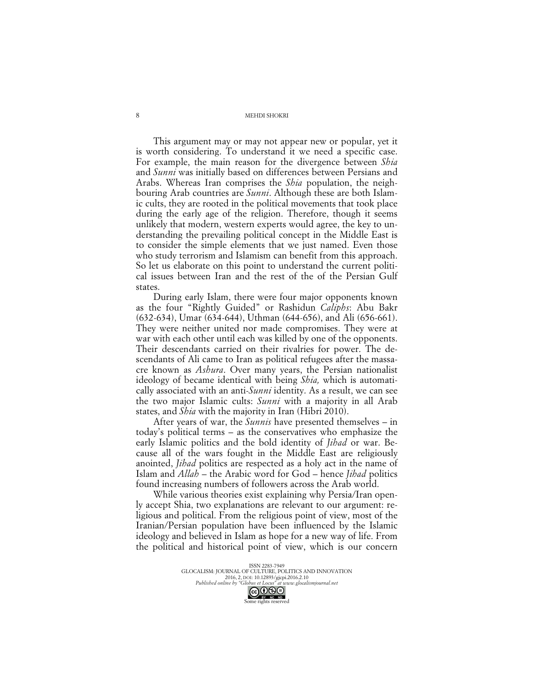This argument may or may not appear new or popular, yet it is worth considering. To understand it we need a specific case. For example, the main reason for the divergence between *Shia* and *Sunni* was initially based on differences between Persians and Arabs. Whereas Iran comprises the *Shia* population, the neighbouring Arab countries are *Sunni*. Although these are both Islamic cults, they are rooted in the political movements that took place during the early age of the religion. Therefore, though it seems unlikely that modern, western experts would agree, the key to understanding the prevailing political concept in the Middle East is to consider the simple elements that we just named. Even those who study terrorism and Islamism can benefit from this approach. So let us elaborate on this point to understand the current political issues between Iran and the rest of the of the Persian Gulf states.

During early Islam, there were four major opponents known as the four "Rightly Guided" or Rashidun *Caliphs*: Abu Bakr (632-634), Umar (634-644), Uthman (644-656), and Ali (656-661). They were neither united nor made compromises. They were at war with each other until each was killed by one of the opponents. Their descendants carried on their rivalries for power. The descendants of Ali came to Iran as political refugees after the massacre known as *Ashura*. Over many years, the Persian nationalist ideology of became identical with being *Shia,* which is automatically associated with an anti-*Sunni* identity. As a result, we can see the two major Islamic cults: *Sunni* with a majority in all Arab states, and *Shia* with the majority in Iran (Hibri 2010).

After years of war, the *Sunnis* have presented themselves – in today's political terms – as the conservatives who emphasize the early Islamic politics and the bold identity of *Jihad* or war. Because all of the wars fought in the Middle East are religiously anointed, *Jihad* politics are respected as a holy act in the name of Islam and *Allah* – the Arabic word for God – hence *Jihad* politics found increasing numbers of followers across the Arab world.

While various theories exist explaining why Persia/Iran openly accept Shia, two explanations are relevant to our argument: religious and political. From the religious point of view, most of the Iranian/Persian population have been influenced by the Islamic ideology and believed in Islam as hope for a new way of life. From the political and historical point of view, which is our concern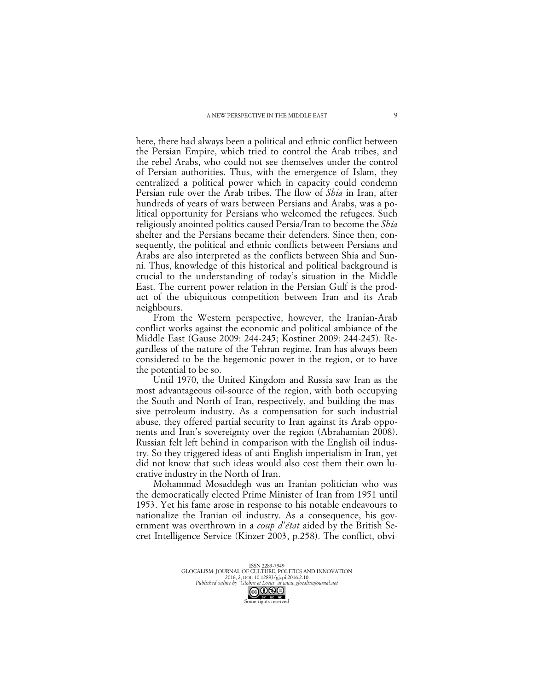here, there had always been a political and ethnic conflict between the Persian Empire, which tried to control the Arab tribes, and the rebel Arabs, who could not see themselves under the control of Persian authorities. Thus, with the emergence of Islam, they centralized a political power which in capacity could condemn Persian rule over the Arab tribes. The flow of *Shia* in Iran, after hundreds of years of wars between Persians and Arabs, was a political opportunity for Persians who welcomed the refugees. Such religiously anointed politics caused Persia/Iran to become the *Shia* shelter and the Persians became their defenders. Since then, consequently, the political and ethnic conflicts between Persians and Arabs are also interpreted as the conflicts between Shia and Sunni. Thus, knowledge of this historical and political background is crucial to the understanding of today's situation in the Middle East. The current power relation in the Persian Gulf is the product of the ubiquitous competition between Iran and its Arab neighbours.

From the Western perspective, however, the Iranian-Arab conflict works against the economic and political ambiance of the Middle East (Gause 2009: 244-245; Kostiner 2009: 244-245). Regardless of the nature of the Tehran regime, Iran has always been considered to be the hegemonic power in the region, or to have the potential to be so.

Until 1970, the United Kingdom and Russia saw Iran as the most advantageous oil-source of the region, with both occupying the South and North of Iran, respectively, and building the massive petroleum industry. As a compensation for such industrial abuse, they offered partial security to Iran against its Arab opponents and Iran's sovereignty over the region (Abrahamian 2008). Russian felt left behind in comparison with the English oil industry. So they triggered ideas of anti-English imperialism in Iran, yet did not know that such ideas would also cost them their own lucrative industry in the North of Iran.

Mohammad Mosaddegh was an Iranian politician who was the democratically elected Prime Minister of Iran from 1951 until 1953. Yet his fame arose in response to his notable endeavours to nationalize the Iranian oil industry. As a consequence, his government was overthrown in a *coup d'état* aided by the British Secret Intelligence Service (Kinzer 2003, p.258). The conflict, obvi-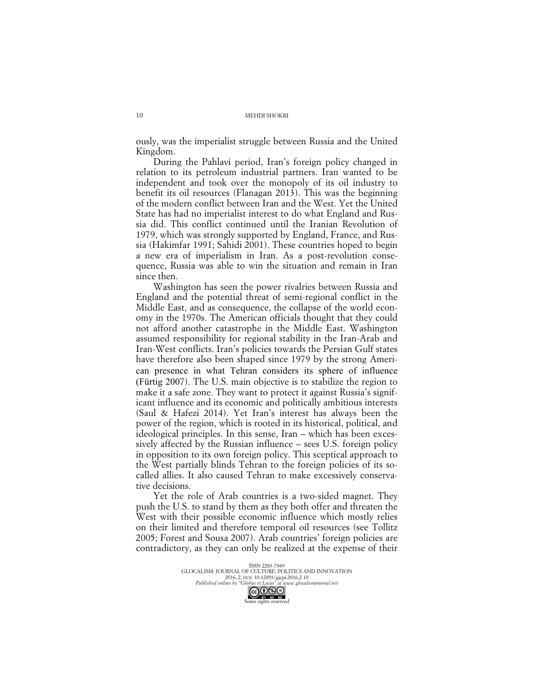ously, was the imperialist struggle between Russia and the United Kingdom.

During the Pahlavi period, Iran's foreign policy changed in relation to its petroleum industrial partners. Iran wanted to be independent and took over the monopoly of its oil industry to benefit its oil resources (Flanagan 2013). This was the beginning of the modern conflict between Iran and the West. Yet the United State has had no imperialist interest to do what England and Russia did. This conflict continued until the Iranian Revolution of 1979, which was strongly supported by England, France, and Russia (Hakimfar 1991; Sahidi 2001). These countries hoped to begin a new era of imperialism in Iran. As a post-revolution consequence, Russia was able to win the situation and remain in Iran since then.

Washington has seen the power rivalries between Russia and England and the potential threat of semi-regional conflict in the Middle East, and as consequence, the collapse of the world economy in the 1970s. The American officials thought that they could not afford another catastrophe in the Middle East. Washington assumed responsibility for regional stability in the Iran-Arab and Iran-West conflicts. Iran's policies towards the Persian Gulf states have therefore also been shaped since 1979 by the strong American presence in what Tehran considers its sphere of influence (Fürtig 2007). The U.S. main objective is to stabilize the region to make it a safe zone. They want to protect it against Russia's significant influence and its economic and politically ambitious interests (Saul & Hafezi 2014). Yet Iran's interest has always been the power of the region, which is rooted in its historical, political, and ideological principles. In this sense, Iran – which has been excessively affected by the Russian influence – sees U.S. foreign policy in opposition to its own foreign policy. This sceptical approach to the West partially blinds Tehran to the foreign policies of its socalled allies. It also caused Tehran to make excessively conservative decisions.

Yet the role of Arab countries is a two-sided magnet. They push the U.S. to stand by them as they both offer and threaten the West with their possible economic influence which mostly relies on their limited and therefore temporal oil resources (see Tollitz 2005; Forest and Sousa 2007). Arab countries' foreign policies are contradictory, as they can only be realized at the expense of their

> ISSN 2283-7949 GLOCALISM: JOURNAL OF CULTURE, POLITICS AND INNOVATION 2016, 2, DOI: 10.12893/gjcpi.2016.2.10 *Published online by "Globus et Locus" at www.glocalismjournal.net* CC **OS**

10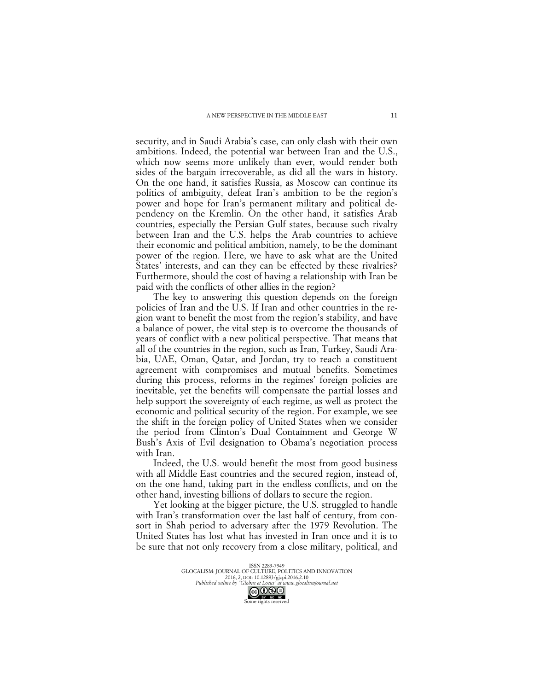security, and in Saudi Arabia's case, can only clash with their own ambitions. Indeed, the potential war between Iran and the U.S., which now seems more unlikely than ever, would render both sides of the bargain irrecoverable, as did all the wars in history. On the one hand, it satisfies Russia, as Moscow can continue its politics of ambiguity, defeat Iran's ambition to be the region's power and hope for Iran's permanent military and political dependency on the Kremlin. On the other hand, it satisfies Arab countries, especially the Persian Gulf states, because such rivalry between Iran and the U.S. helps the Arab countries to achieve their economic and political ambition, namely, to be the dominant power of the region. Here, we have to ask what are the United States' interests, and can they can be effected by these rivalries? Furthermore, should the cost of having a relationship with Iran be paid with the conflicts of other allies in the region?

The key to answering this question depends on the foreign policies of Iran and the U.S. If Iran and other countries in the region want to benefit the most from the region's stability, and have a balance of power, the vital step is to overcome the thousands of years of conflict with a new political perspective. That means that all of the countries in the region, such as Iran, Turkey, Saudi Arabia, UAE, Oman, Qatar, and Jordan, try to reach a constituent agreement with compromises and mutual benefits. Sometimes during this process, reforms in the regimes' foreign policies are inevitable, yet the benefits will compensate the partial losses and help support the sovereignty of each regime, as well as protect the economic and political security of the region. For example, we see the shift in the foreign policy of United States when we consider the period from Clinton's Dual Containment and George W Bush's Axis of Evil designation to Obama's negotiation process with Iran.

Indeed, the U.S. would benefit the most from good business with all Middle East countries and the secured region, instead of, on the one hand, taking part in the endless conflicts, and on the other hand, investing billions of dollars to secure the region.

Yet looking at the bigger picture, the U.S. struggled to handle with Iran's transformation over the last half of century, from consort in Shah period to adversary after the 1979 Revolution. The United States has lost what has invested in Iran once and it is to be sure that not only recovery from a close military, political, and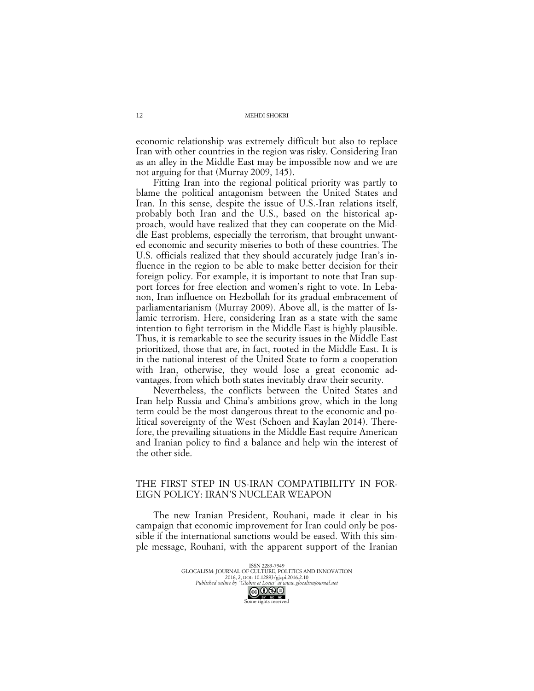economic relationship was extremely difficult but also to replace Iran with other countries in the region was risky. Considering Iran as an alley in the Middle East may be impossible now and we are not arguing for that (Murray 2009, 145).

Fitting Iran into the regional political priority was partly to blame the political antagonism between the United States and Iran. In this sense, despite the issue of U.S.-Iran relations itself, probably both Iran and the U.S., based on the historical approach, would have realized that they can cooperate on the Middle East problems, especially the terrorism, that brought unwanted economic and security miseries to both of these countries. The U.S. officials realized that they should accurately judge Iran's influence in the region to be able to make better decision for their foreign policy. For example, it is important to note that Iran support forces for free election and women's right to vote. In Lebanon, Iran influence on Hezbollah for its gradual embracement of parliamentarianism (Murray 2009). Above all, is the matter of Islamic terrorism. Here, considering Iran as a state with the same intention to fight terrorism in the Middle East is highly plausible. Thus, it is remarkable to see the security issues in the Middle East prioritized, those that are, in fact, rooted in the Middle East. It is in the national interest of the United State to form a cooperation with Iran, otherwise, they would lose a great economic advantages, from which both states inevitably draw their security.

Nevertheless, the conflicts between the United States and Iran help Russia and China's ambitions grow, which in the long term could be the most dangerous threat to the economic and political sovereignty of the West (Schoen and Kaylan 2014). Therefore, the prevailing situations in the Middle East require American and Iranian policy to find a balance and help win the interest of the other side.

# THE FIRST STEP IN US-IRAN COMPATIBILITY IN FOR-EIGN POLICY: IRAN'S NUCLEAR WEAPON

The new Iranian President, Rouhani, made it clear in his campaign that economic improvement for Iran could only be possible if the international sanctions would be eased. With this simple message, Rouhani, with the apparent support of the Iranian

> ISSN 2283-7949 GLOCALISM: JOURNAL OF CULTURE, POLITICS AND INNOVATION 2016, 2, DOI: 10.12893/gjcpi.2016.2.10 *Published online by "Globus et Locus" at www.glocalismjournal.net*

> > Some rights reserved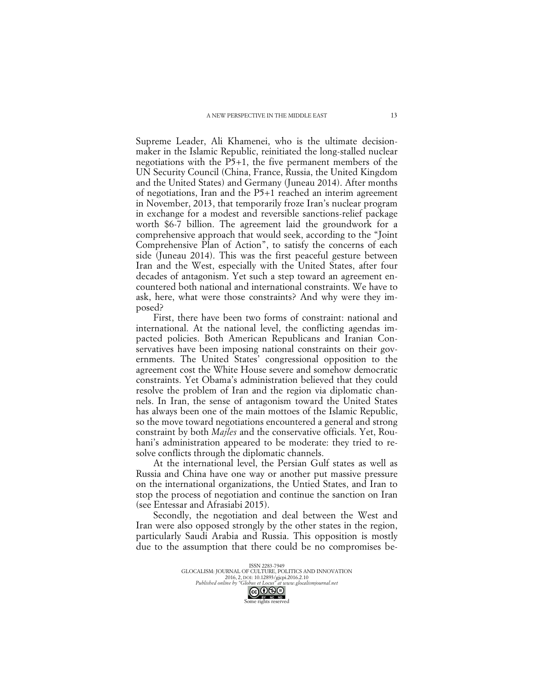Supreme Leader, Ali Khamenei, who is the ultimate decisionmaker in the Islamic Republic, reinitiated the long-stalled nuclear negotiations with the P5+1, the five permanent members of the UN Security Council (China, France, Russia, the United Kingdom and the United States) and Germany (Juneau 2014). After months of negotiations, Iran and the P5+1 reached an interim agreement in November, 2013, that temporarily froze Iran's nuclear program in exchange for a modest and reversible sanctions-relief package worth \$6-7 billion. The agreement laid the groundwork for a comprehensive approach that would seek, according to the "Joint Comprehensive Plan of Action", to satisfy the concerns of each side (Juneau 2014). This was the first peaceful gesture between Iran and the West, especially with the United States, after four decades of antagonism. Yet such a step toward an agreement encountered both national and international constraints. We have to ask, here, what were those constraints? And why were they imposed?

First, there have been two forms of constraint: national and international. At the national level, the conflicting agendas impacted policies. Both American Republicans and Iranian Conservatives have been imposing national constraints on their governments. The United States' congressional opposition to the agreement cost the White House severe and somehow democratic constraints. Yet Obama's administration believed that they could resolve the problem of Iran and the region via diplomatic channels. In Iran, the sense of antagonism toward the United States has always been one of the main mottoes of the Islamic Republic, so the move toward negotiations encountered a general and strong constraint by both *Majles* and the conservative officials. Yet, Rouhani's administration appeared to be moderate: they tried to resolve conflicts through the diplomatic channels.

At the international level, the Persian Gulf states as well as Russia and China have one way or another put massive pressure on the international organizations, the Untied States, and Iran to stop the process of negotiation and continue the sanction on Iran (see Entessar and Afrasiabi 2015).

Secondly, the negotiation and deal between the West and Iran were also opposed strongly by the other states in the region, particularly Saudi Arabia and Russia. This opposition is mostly due to the assumption that there could be no compromises be-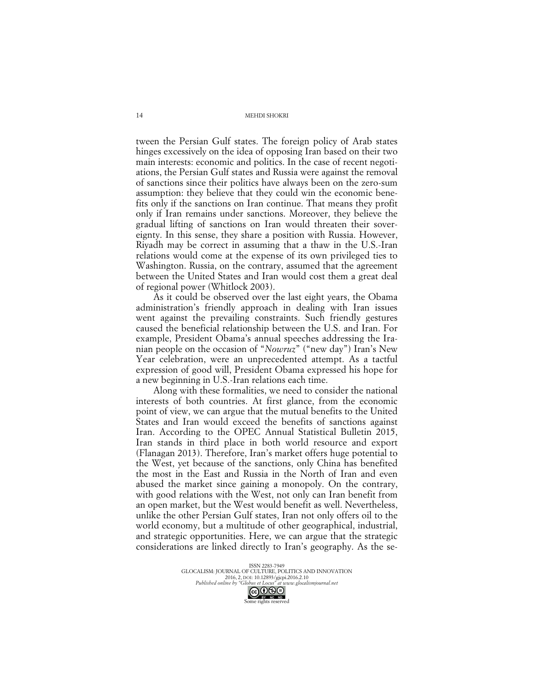tween the Persian Gulf states. The foreign policy of Arab states hinges excessively on the idea of opposing Iran based on their two main interests: economic and politics. In the case of recent negotiations, the Persian Gulf states and Russia were against the removal of sanctions since their politics have always been on the zero-sum assumption: they believe that they could win the economic benefits only if the sanctions on Iran continue. That means they profit only if Iran remains under sanctions. Moreover, they believe the gradual lifting of sanctions on Iran would threaten their sovereignty. In this sense, they share a position with Russia. However, Riyadh may be correct in assuming that a thaw in the U.S.-Iran relations would come at the expense of its own privileged ties to Washington. Russia, on the contrary, assumed that the agreement between the United States and Iran would cost them a great deal of regional power (Whitlock 2003).

As it could be observed over the last eight years, the Obama administration's friendly approach in dealing with Iran issues went against the prevailing constraints. Such friendly gestures caused the beneficial relationship between the U.S. and Iran. For example, President Obama's annual speeches addressing the Iranian people on the occasion of "*Nowruz*" ("new day") Iran's New Year celebration, were an unprecedented attempt. As a tactful expression of good will, President Obama expressed his hope for a new beginning in U.S.-Iran relations each time.

Along with these formalities, we need to consider the national interests of both countries. At first glance, from the economic point of view, we can argue that the mutual benefits to the United States and Iran would exceed the benefits of sanctions against Iran. According to the OPEC Annual Statistical Bulletin 2015, Iran stands in third place in both world resource and export (Flanagan 2013). Therefore, Iran's market offers huge potential to the West, yet because of the sanctions, only China has benefited the most in the East and Russia in the North of Iran and even abused the market since gaining a monopoly. On the contrary, with good relations with the West, not only can Iran benefit from an open market, but the West would benefit as well. Nevertheless, unlike the other Persian Gulf states, Iran not only offers oil to the world economy, but a multitude of other geographical, industrial, and strategic opportunities. Here, we can argue that the strategic considerations are linked directly to Iran's geography. As the se-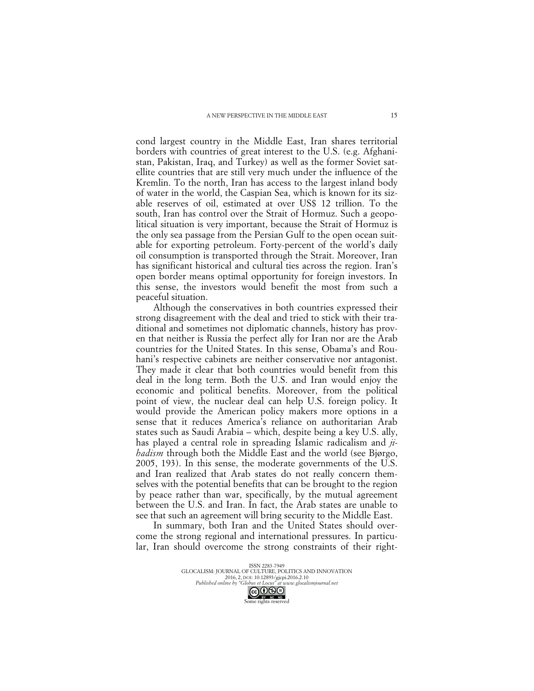cond largest country in the Middle East, Iran shares territorial borders with countries of great interest to the U.S. (e.g. Afghanistan, Pakistan, Iraq, and Turkey) as well as the former Soviet satellite countries that are still very much under the influence of the Kremlin. To the north, Iran has access to the largest inland body of water in the world, the Caspian Sea, which is known for its sizable reserves of oil, estimated at over US\$ 12 trillion. To the south, Iran has control over the Strait of Hormuz. Such a geopolitical situation is very important, because the Strait of Hormuz is the only sea passage from the Persian Gulf to the open ocean suitable for exporting petroleum. Forty-percent of the world's daily oil consumption is transported through the Strait. Moreover, Iran has significant historical and cultural ties across the region. Iran's open border means optimal opportunity for foreign investors. In this sense, the investors would benefit the most from such a peaceful situation.

Although the conservatives in both countries expressed their strong disagreement with the deal and tried to stick with their traditional and sometimes not diplomatic channels, history has proven that neither is Russia the perfect ally for Iran nor are the Arab countries for the United States. In this sense, Obama's and Rouhani's respective cabinets are neither conservative nor antagonist. They made it clear that both countries would benefit from this deal in the long term. Both the U.S. and Iran would enjoy the economic and political benefits. Moreover, from the political point of view, the nuclear deal can help U.S. foreign policy. It would provide the American policy makers more options in a sense that it reduces America's reliance on authoritarian Arab states such as Saudi Arabia – which, despite being a key U.S. ally, has played a central role in spreading Islamic radicalism and *jihadism* through both the Middle East and the world (see Bjørgo, 2005, 193). In this sense, the moderate governments of the U.S. and Iran realized that Arab states do not really concern themselves with the potential benefits that can be brought to the region by peace rather than war, specifically, by the mutual agreement between the U.S. and Iran. In fact, the Arab states are unable to see that such an agreement will bring security to the Middle East.

In summary, both Iran and the United States should overcome the strong regional and international pressures. In particular, Iran should overcome the strong constraints of their right-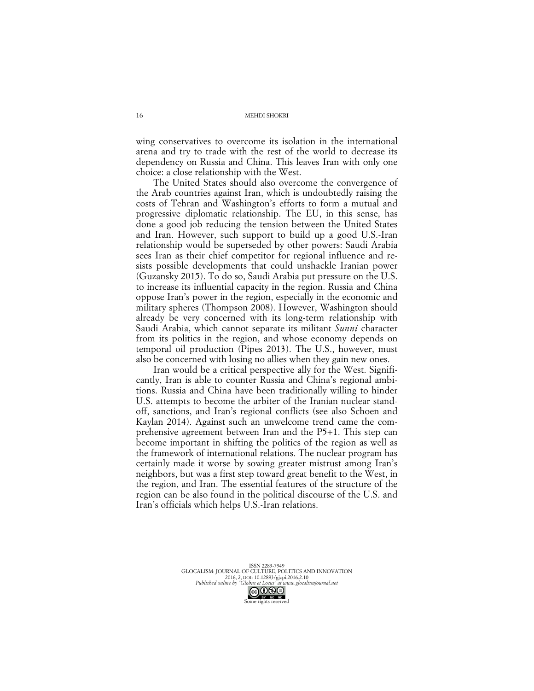wing conservatives to overcome its isolation in the international arena and try to trade with the rest of the world to decrease its dependency on Russia and China. This leaves Iran with only one choice: a close relationship with the West.

The United States should also overcome the convergence of the Arab countries against Iran, which is undoubtedly raising the costs of Tehran and Washington's efforts to form a mutual and progressive diplomatic relationship. The EU, in this sense, has done a good job reducing the tension between the United States and Iran. However, such support to build up a good U.S.-Iran relationship would be superseded by other powers: Saudi Arabia sees Iran as their chief competitor for regional influence and resists possible developments that could unshackle Iranian power (Guzansky 2015). To do so, Saudi Arabia put pressure on the U.S. to increase its influential capacity in the region. Russia and China oppose Iran's power in the region, especially in the economic and military spheres (Thompson 2008). However, Washington should already be very concerned with its long-term relationship with Saudi Arabia, which cannot separate its militant *Sunni* character from its politics in the region, and whose economy depends on temporal oil production (Pipes 2013). The U.S., however, must also be concerned with losing no allies when they gain new ones.

Iran would be a critical perspective ally for the West. Significantly, Iran is able to counter Russia and China's regional ambitions. Russia and China have been traditionally willing to hinder U.S. attempts to become the arbiter of the Iranian nuclear standoff, sanctions, and Iran's regional conflicts (see also Schoen and Kaylan 2014). Against such an unwelcome trend came the comprehensive agreement between Iran and the P5+1. This step can become important in shifting the politics of the region as well as the framework of international relations. The nuclear program has certainly made it worse by sowing greater mistrust among Iran's neighbors, but was a first step toward great benefit to the West, in the region, and Iran. The essential features of the structure of the region can be also found in the political discourse of the U.S. and Iran's officials which helps U.S.-Iran relations.

> ISSN 2283-7949 GLOCALISM: JOURNAL OF CULTURE, POLITICS AND INNOVATION 2016, 2, DOI: 10.12893/gjcpi.2016.2.10 *Published online by "Globus et Locus" at www.glocalismjournal.net*

> > Some rights reserved

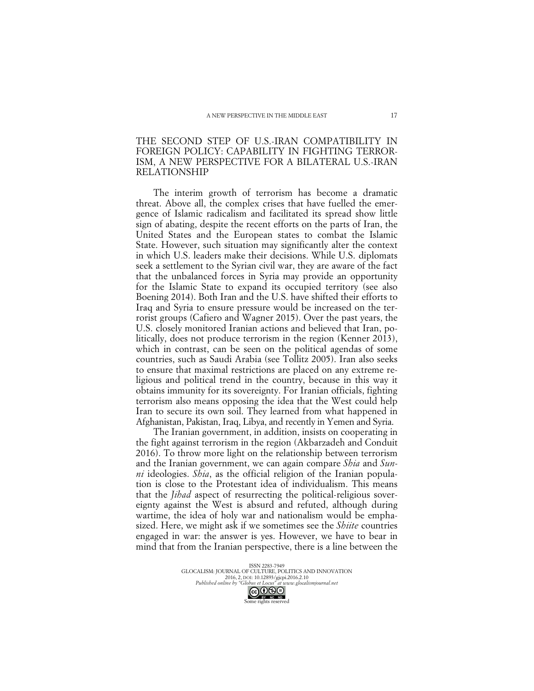# THE SECOND STEP OF U.S.-IRAN COMPATIBILITY IN FOREIGN POLICY: CAPABILITY IN FIGHTING TERROR-ISM, A NEW PERSPECTIVE FOR A BILATERAL U.S.-IRAN RELATIONSHIP

The interim growth of terrorism has become a dramatic threat. Above all, the complex crises that have fuelled the emergence of Islamic radicalism and facilitated its spread show little sign of abating, despite the recent efforts on the parts of Iran, the United States and the European states to combat the Islamic State. However, such situation may significantly alter the context in which U.S. leaders make their decisions. While U.S. diplomats seek a settlement to the Syrian civil war, they are aware of the fact that the unbalanced forces in Syria may provide an opportunity for the Islamic State to expand its occupied territory (see also Boening 2014). Both Iran and the U.S. have shifted their efforts to Iraq and Syria to ensure pressure would be increased on the terrorist groups (Cafiero and Wagner 2015). Over the past years, the U.S. closely monitored Iranian actions and believed that Iran, politically, does not produce terrorism in the region (Kenner 2013), which in contrast, can be seen on the political agendas of some countries, such as Saudi Arabia (see Tollitz 2005). Iran also seeks to ensure that maximal restrictions are placed on any extreme religious and political trend in the country, because in this way it obtains immunity for its sovereignty. For Iranian officials, fighting terrorism also means opposing the idea that the West could help Iran to secure its own soil. They learned from what happened in Afghanistan, Pakistan, Iraq, Libya, and recently in Yemen and Syria.

The Iranian government, in addition, insists on cooperating in the fight against terrorism in the region (Akbarzadeh and Conduit 2016). To throw more light on the relationship between terrorism and the Iranian government, we can again compare *Shia* and *Sunni* ideologies. *Shia*, as the official religion of the Iranian population is close to the Protestant idea of individualism. This means that the *Jihad* aspect of resurrecting the political-religious sovereignty against the West is absurd and refuted, although during wartime, the idea of holy war and nationalism would be emphasized. Here, we might ask if we sometimes see the *Shiite* countries engaged in war: the answer is yes. However, we have to bear in mind that from the Iranian perspective, there is a line between the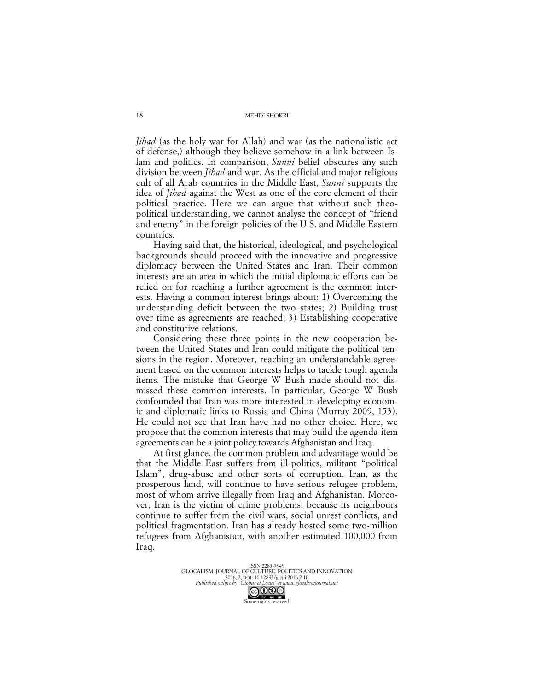*Jihad* (as the holy war for Allah) and war (as the nationalistic act of defense,) although they believe somehow in a link between Islam and politics. In comparison, *Sunni* belief obscures any such division between *Jihad* and war. As the official and major religious cult of all Arab countries in the Middle East, *Sunni* supports the idea of *Jihad* against the West as one of the core element of their political practice. Here we can argue that without such theopolitical understanding, we cannot analyse the concept of "friend and enemy" in the foreign policies of the U.S. and Middle Eastern countries.

Having said that, the historical, ideological, and psychological backgrounds should proceed with the innovative and progressive diplomacy between the United States and Iran. Their common interests are an area in which the initial diplomatic efforts can be relied on for reaching a further agreement is the common interests. Having a common interest brings about: 1) Overcoming the understanding deficit between the two states; 2) Building trust over time as agreements are reached; 3) Establishing cooperative and constitutive relations.

Considering these three points in the new cooperation between the United States and Iran could mitigate the political tensions in the region. Moreover, reaching an understandable agreement based on the common interests helps to tackle tough agenda items. The mistake that George W Bush made should not dismissed these common interests. In particular, George W Bush confounded that Iran was more interested in developing economic and diplomatic links to Russia and China (Murray 2009, 153). He could not see that Iran have had no other choice. Here, we propose that the common interests that may build the agenda-item agreements can be a joint policy towards Afghanistan and Iraq.

At first glance, the common problem and advantage would be that the Middle East suffers from ill-politics, militant "political Islam", drug-abuse and other sorts of corruption. Iran, as the prosperous land, will continue to have serious refugee problem, most of whom arrive illegally from Iraq and Afghanistan. Moreover, Iran is the victim of crime problems, because its neighbours continue to suffer from the civil wars, social unrest conflicts, and political fragmentation. Iran has already hosted some two-million refugees from Afghanistan, with another estimated 100,000 from Iraq.

> ISSN 2283-7949 GLOCALISM: JOURNAL OF CULTURE, POLITICS AND INNOVATION 2016, 2, DOI: 10.12893/gjcpi.2016.2.10 *Published online by "Globus et Locus" at www.glocalismjournal.net*

> > Some rights reserved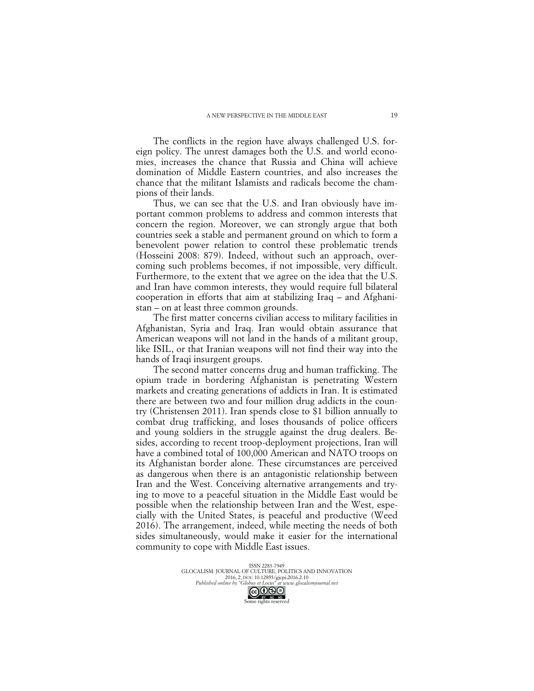The conflicts in the region have always challenged U.S. foreign policy. The unrest damages both the U.S. and world economies, increases the chance that Russia and China will achieve domination of Middle Eastern countries, and also increases the chance that the militant Islamists and radicals become the champions of their lands.

Thus, we can see that the U.S. and Iran obviously have important common problems to address and common interests that concern the region. Moreover, we can strongly argue that both countries seek a stable and permanent ground on which to form a benevolent power relation to control these problematic trends (Hosseini 2008: 879). Indeed, without such an approach, overcoming such problems becomes, if not impossible, very difficult. Furthermore, to the extent that we agree on the idea that the U.S. and Iran have common interests, they would require full bilateral cooperation in efforts that aim at stabilizing Iraq – and Afghanistan – on at least three common grounds.

The first matter concerns civilian access to military facilities in Afghanistan, Syria and Iraq. Iran would obtain assurance that American weapons will not land in the hands of a militant group, like ISIL, or that Iranian weapons will not find their way into the hands of Iraqi insurgent groups.

The second matter concerns drug and human trafficking. The opium trade in bordering Afghanistan is penetrating Western markets and creating generations of addicts in Iran. It is estimated there are between two and four million drug addicts in the country (Christensen 2011). Iran spends close to \$1 billion annually to combat drug trafficking, and loses thousands of police officers and young soldiers in the struggle against the drug dealers. Besides, according to recent troop-deployment projections, Iran will have a combined total of 100,000 American and NATO troops on its Afghanistan border alone. These circumstances are perceived as dangerous when there is an antagonistic relationship between Iran and the West. Conceiving alternative arrangements and trying to move to a peaceful situation in the Middle East would be possible when the relationship between Iran and the West, especially with the United States, is peaceful and productive (Weed 2016). The arrangement, indeed, while meeting the needs of both sides simultaneously, would make it easier for the international community to cope with Middle East issues.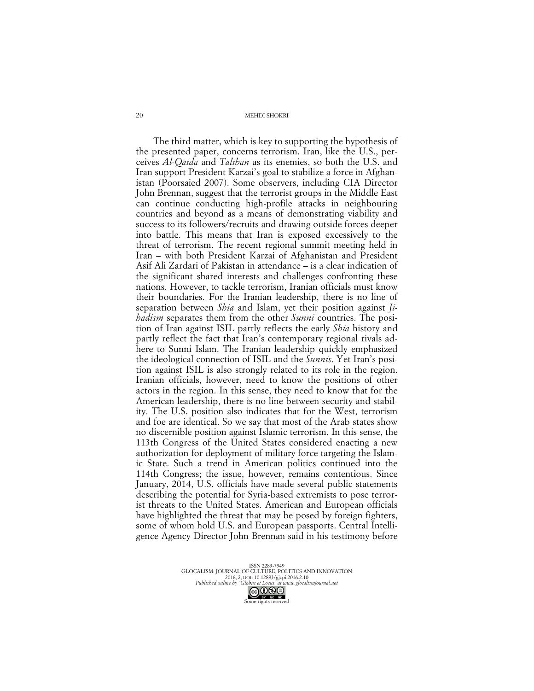The third matter, which is key to supporting the hypothesis of the presented paper, concerns terrorism. Iran, like the U.S., perceives *Al-Qaida* and *Taliban* as its enemies, so both the U.S. and Iran support President Karzai's goal to stabilize a force in Afghanistan (Poorsaied 2007). Some observers, including CIA Director John Brennan, suggest that the terrorist groups in the Middle East can continue conducting high-profile attacks in neighbouring countries and beyond as a means of demonstrating viability and success to its followers/recruits and drawing outside forces deeper into battle. This means that Iran is exposed excessively to the threat of terrorism. The recent regional summit meeting held in Iran – with both President Karzai of Afghanistan and President Asif Ali Zardari of Pakistan in attendance – is a clear indication of the significant shared interests and challenges confronting these nations. However, to tackle terrorism, Iranian officials must know their boundaries. For the Iranian leadership, there is no line of separation between *Shia* and Islam, yet their position against *Jihadism* separates them from the other *Sunni* countries. The position of Iran against ISIL partly reflects the early *Shia* history and partly reflect the fact that Iran's contemporary regional rivals adhere to Sunni Islam. The Iranian leadership quickly emphasized the ideological connection of ISIL and the *Sunnis*. Yet Iran's position against ISIL is also strongly related to its role in the region. Iranian officials, however, need to know the positions of other actors in the region. In this sense, they need to know that for the American leadership, there is no line between security and stability. The U.S. position also indicates that for the West, terrorism and foe are identical. So we say that most of the Arab states show no discernible position against Islamic terrorism. In this sense, the 113th Congress of the United States considered enacting a new authorization for deployment of military force targeting the Islamic State. Such a trend in American politics continued into the 114th Congress; the issue, however, remains contentious. Since January, 2014, U.S. officials have made several public statements describing the potential for Syria-based extremists to pose terrorist threats to the United States. American and European officials have highlighted the threat that may be posed by foreign fighters, some of whom hold U.S. and European passports. Central Intelligence Agency Director John Brennan said in his testimony before

> ISSN 2283-7949 GLOCALISM: JOURNAL OF CULTURE, POLITICS AND INNOVATION 2016, 2, DOI: 10.12893/gjcpi.2016.2.10 *Published online by "Globus et Locus" at www.glocalismjournal.net*

> > Some rights reserved

20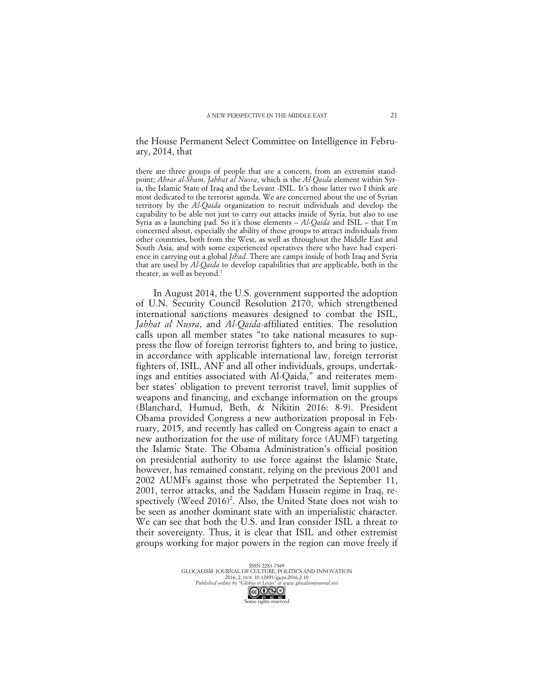### the House Permanent Select Committee on Intelligence in February, 2014, that

there are three groups of people that are a concern, from an extremist standpoint; *Ahrar al-Sham, Jabhat al Nusra*, which is the *Al-Qaida* element within Syria, the Islamic State of Iraq and the Levant -ISIL. It's those latter two I think are most dedicated to the terrorist agenda. We are concerned about the use of Syrian territory by the *Al-Qaida* organization to recruit individuals and develop the capability to be able not just to carry out attacks inside of Syria, but also to use Syria as a launching pad. So it's those elements – *Al-Qaida* and ISIL – that I'm concerned about, especially the ability of these groups to attract individuals from other countries, both from the West, as well as throughout the Middle East and South Asia, and with some experienced operatives there who have had experience in carrying out a global *Jihad*. There are camps inside of both Iraq and Syria that are used by *Al-Qaida* to develop capabilities that are applicable, both in the theater, as well as beyond.<sup>1</sup>

In August 2014, the U.S. government supported the adoption of U.N. Security Council Resolution 2170, which strengthened international sanctions measures designed to combat the ISIL, *Jabhat al Nusra*, and *Al-Qaida*-affiliated entities. The resolution calls upon all member states "to take national measures to suppress the flow of foreign terrorist fighters to, and bring to justice, in accordance with applicable international law, foreign terrorist fighters of, ISIL, ANF and all other individuals, groups, undertakings and entities associated with Al-Qaida," and reiterates member states' obligation to prevent terrorist travel, limit supplies of weapons and financing, and exchange information on the groups (Blanchard, Humud, Beth, & Nikitin 2016: 8-9). President Obama provided Congress a new authorization proposal in February, 2015, and recently has called on Congress again to enact a new authorization for the use of military force (AUMF) targeting the Islamic State. The Obama Administration's official position on presidential authority to use force against the Islamic State, however, has remained constant, relying on the previous 2001 and 2002 AUMFs against those who perpetrated the September 11, 2001, terror attacks, and the Saddam Hussein regime in Iraq, respectively (Weed 2016)<sup>2</sup>. Also, the United State does not wish to be seen as another dominant state with an imperialistic character. We can see that both the U.S. and Iran consider ISIL a threat to their sovereignty. Thus, it is clear that ISIL and other extremist groups working for major powers in the region can move freely if

> ISSN 2283-7949 GLOCALISM: JOURNAL OF CULTURE, POLITICS AND INNOVATION 2016, 2, DOI: 10.12893/gjcpi.2016.2.10<br>Published online by "Globus et Locus" at www.glocali *Published online by "Globus et Locus" at www.glocalismjournal.net*  $\bigodot_{\text{BV}-\text{NC}-\text{ND}}$ <br>me rights reserved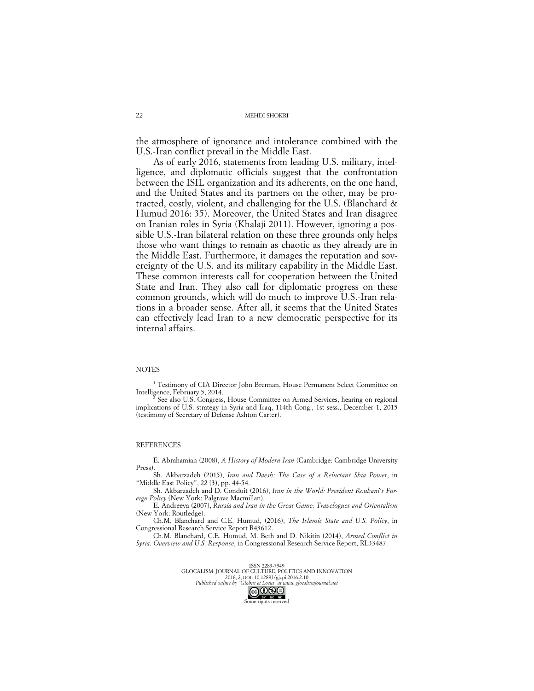the atmosphere of ignorance and intolerance combined with the U.S.-Iran conflict prevail in the Middle East.

As of early 2016, statements from leading U.S. military, intelligence, and diplomatic officials suggest that the confrontation between the ISIL organization and its adherents, on the one hand, and the United States and its partners on the other, may be protracted, costly, violent, and challenging for the U.S. (Blanchard & Humud 2016: 35). Moreover, the United States and Iran disagree on Iranian roles in Syria (Khalaji 2011). However, ignoring a possible U.S.-Iran bilateral relation on these three grounds only helps those who want things to remain as chaotic as they already are in the Middle East. Furthermore, it damages the reputation and sovereignty of the U.S. and its military capability in the Middle East. These common interests call for cooperation between the United State and Iran. They also call for diplomatic progress on these common grounds, which will do much to improve U.S.-Iran relations in a broader sense. After all, it seems that the United States can effectively lead Iran to a new democratic perspective for its internal affairs.

### **NOTES**

<sup>1</sup> Testimony of CIA Director John Brennan, House Permanent Select Committee on Intelligence, February 5, 2014.

See also U.S. Congress, House Committee on Armed Services, hearing on regional implications of U.S. strategy in Syria and Iraq, 114th Cong., 1st sess., December 1, 2015 (testimony of Secretary of Defense Ashton Carter).

### **REFERENCES**

E. Abrahamian (2008), *A History of Modern Iran* (Cambridge: Cambridge University Press).

Sh. Akbarzadeh (2015), *Iran and Daesh: The Case of a Reluctant Shia Power*, in "Middle East Policy", 22 (3), pp. 44-54.

Sh. Akbarzadeh and D. Conduit (2016), *Iran in the World: President Rouhani's Foreign Policy* (New York: Palgrave Macmillan).

E. Andreeva (2007), *Russia and Iran in the Great Game: Travelogues and Orientalism* (New York: Routledge).

Ch.M. Blanchard and C.E. Humud, (2016), *The Islamic State and U.S. Policy*, in Congressional Research Service Report R43612.

Ch.M. Blanchard, C.E. Humud, M. Beth and D. Nikitin (2014), *Armed Conflict in Syria: Overview and U.S. Response*, in Congressional Research Service Report, RL33487.

> ISSN 2283-7949 GLOCALISM: JOURNAL OF CULTURE, POLITICS AND INNOVATION 2016, 2, DOI: 10.12893/gjcpi.2016.2.10<br>Published online by "Globus et Locus" at www.glocali *Published online by "Globus et Locus" at www.glocalismjournal.net*

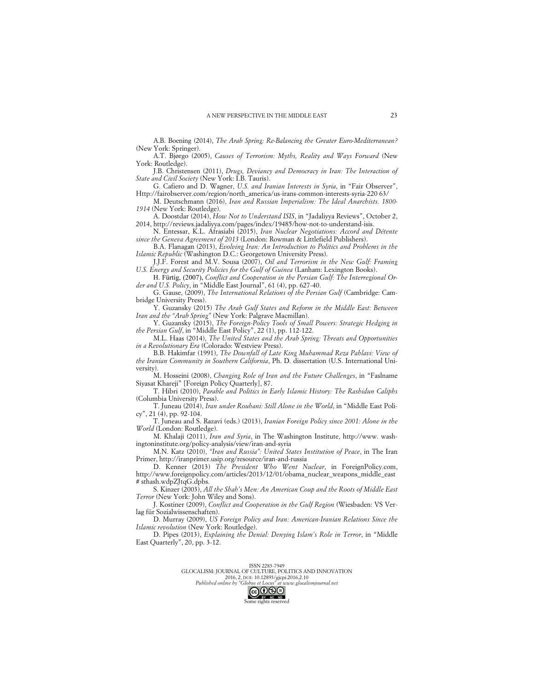A.B. Boening (2014), *The Arab Spring: Re-Balancing the Greater Euro-Mediterranean?* (New York: Springer).

A.T. Bjørgo (2005), *Causes of Terrorism: Myths, Reality and Ways Forward* (New York: Routledge).

J.B. Christensen (2011), *Drugs, Deviancy and Democracy in Iran: The Interaction of State and Civil Society* (New York: I.B. Tauris).

G. Cafiero and D. Wagner, *U.S. and Iranian Interests in Syria*, in "Fair Observer", Http://fairobserver.com/region/north\_america/us-irans-common-interests-syria-220 63/

M. Deutschmann (2016), *Iran and Russian Imperialism: The Ideal Anarchists. 1800- 1914* (New York: Routledge).

A. Doostdar (2014), *How Not to Understand ISIS*, in "Jadaliyya Reviews", October 2, 2014, http://reviews.jadaliyya.com/pages/index/19485/how-not-to-understand-isis.

N. Entessar, K.L. Afrasiabi (2015), *Iran Nuclear Negotiations: Accord and Détente since the Geneva Agreement of 2013* (London: Rowman & Littlefield Publishers).

B.A. Flanagan (2013), *Evolving Iran: An Introduction to Politics and Problems in the Islamic Republic* (Washington D.C.: Georgetown University Press).

J.J.F. Forest and M.V. Sousa (2007), *Oil and Terrorism in the New Gulf: Framing U.S. Energy and Security Policies for the Gulf of Guinea* (Lanham: Lexington Books).

H. Fürtig, (2007), *Conflict and Cooperation in the Persian Gulf: The Interregional Order and U.S. Policy*, in "Middle East Journal", 61 (4), pp. 627-40.

G. Gause, (2009), *The International Relations of the Persian Gulf* (Cambridge: Cambridge University Press).

Y. Guzansky (2015) *The Arab Gulf States and Reform in the Middle East: Between Iran and the "Arab Spring"* (New York: Palgrave Macmillan).

Y. Guzansky (2015), *The Foreign-Policy Tools of Small Powers: Strategic Hedging in the Persian Gulf*, in "Middle East Policy", 22 (1), pp. 112-122.

M.L. Haas (2014), *The United States and the Arab Spring: Threats and Opportunities in a Revolutionary Era* (Colorado: Westview Press).

B.B. Hakimfar (1991), *The Downfall of Late King Muhammad Reza Pahlavi: View of the Iranian Community in Southern California*, Ph. D. dissertation (U.S. International University).

M. Hosseini (2008), *Changing Role of Iran and the Future Challenges*, in "Faslname Siyasat Khareji" [Foreign Policy Quarterly], 87.

T. Hibri (2010), *Parable and Politics in Early Islamic History: The Rashidun Caliphs* (Columbia University Press).

T. Juneau (2014), *Iran under Rouhani: Still Alone in the World*, in "Middle East Policy", 21 (4), pp. 92-104.

T. Juneau and S. Razavi (eds.) (2013), *Iranian Foreign Policy since 2001: Alone in the World* (London: Routledge).

M. Khalaji (2011), *Iran and Syria*, in The Washington Institute, http://www. washingtoninstitute.org/policy-analysis/view/iran-and-syria

M.N. Katz (2010), *"Iran and Russia": United States Institution of Peace*, in The Iran Primer, http://iranprimer.usip.org/resource/iran-and-russia

D. Kenner (2013) *The President Who Went Nuclear*, in ForeignPolicy.com, http://www.foreignpolicy.com/articles/2013/12/01/obama\_nuclear\_weapons\_middle\_east # sthash.wdpZJtqG.dpbs.

S. Kinzer (2003), *All the Shah's Men: An American Coup and the Roots of Middle East Terror* (New York: John Wiley and Sons).

J. Kostiner (2009), *Conflict and Cooperation in the Gulf Region* (Wiesbaden: VS Verlag für Sozialwissenschaften).

D. Murray (2009), *US Foreign Policy and Iran: American-Iranian Relations Since the Islamic revolution* (New York: Routledge).

D. Pipes (2013), *Explaining the Denial: Denying Islam's Role in Terror*, in "Middle East Quarterly", 20, pp. 3-12.

2016, 2, DOI: 10.12893/gjcpi.2016.2.10 *Published online by "Globus et Locus" at www.glocalismjournal.net*